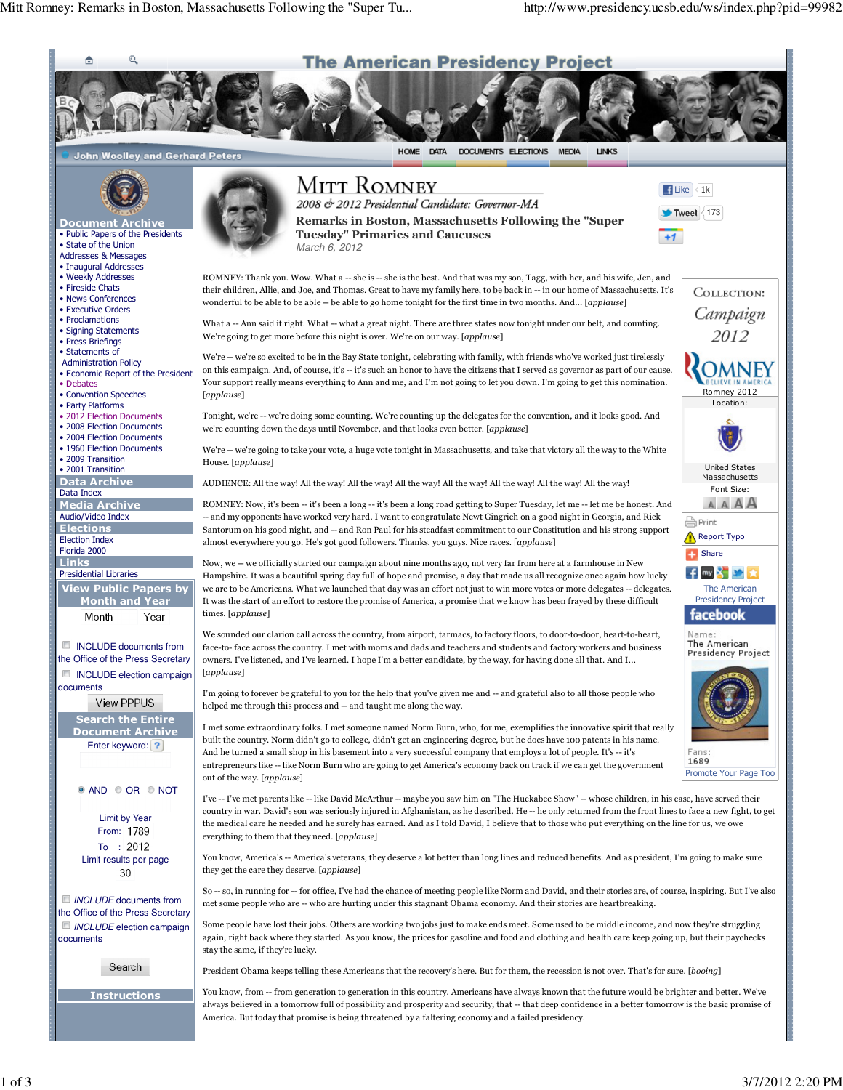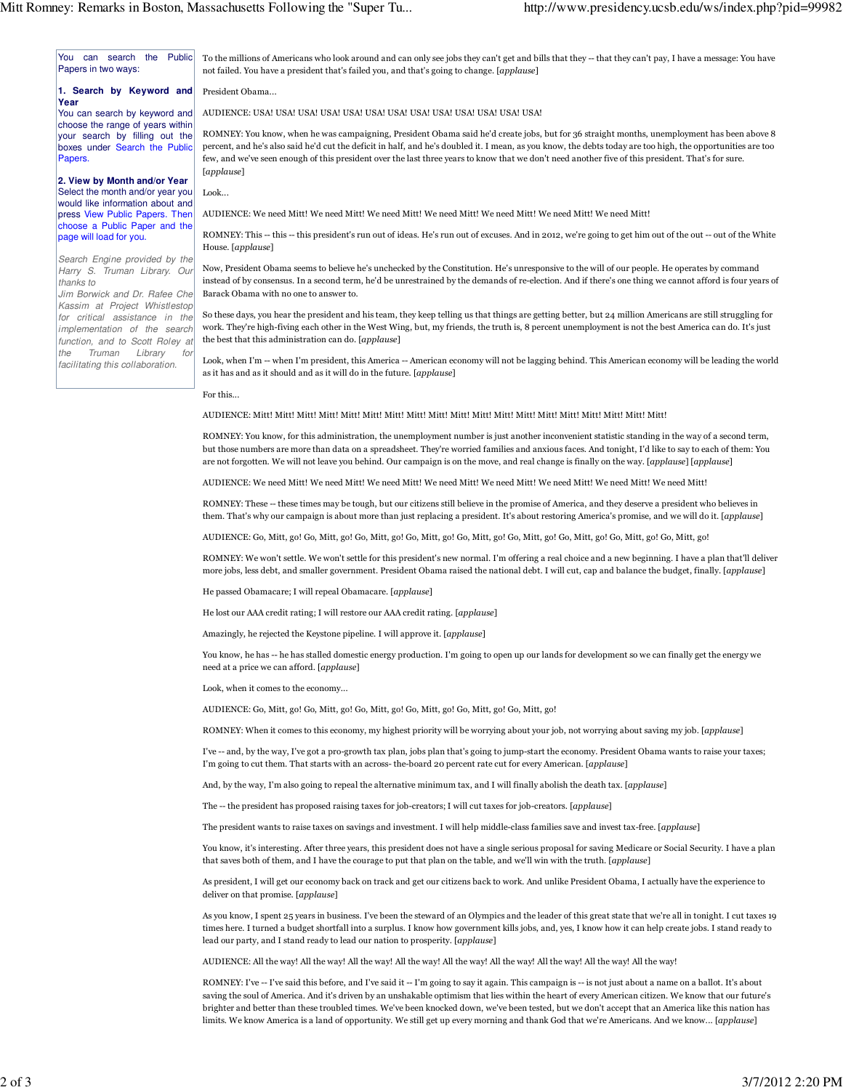You can search the Public Papers in two ways:

**1. Search by Keyword and Year**

You can search by keyword and choose the range of years within your search by filling out the boxes under Search the Public **Papers** 

**2. View by Month and/or Year** Select the month and/or year you would like information about and press View Public Papers. Then choose a Public Paper and the page will load for you.

Search Engine provided by the Harry S. Truman Library. Our thanks to

Jim Borwick and Dr. Rafee Che Kassim at Project Whistlestop for critical assistance in the implementation of the search function, and to Scott Roley at the Truman Library for facilitating this collaboration.

To the millions of Americans who look around and can only see jobs they can't get and bills that they -- that they can't pay, I have a message: You have not failed. You have a president that's failed you, and that's going to change. [applause]

President Obama...

AUDIENCE: USA! USA! USA! USA! USA! USA! USA! USA! USA! USA! USA! USA! USA!

ROMNEY: You know, when he was campaigning, President Obama said he'd create jobs, but for 36 straight months, unemployment has been above 8 percent, and he's also said he'd cut the deficit in half, and he's doubled it. I mean, as you know, the debts today are too high, the opportunities are too few, and we've seen enough of this president over the last three years to know that we don't need another five of this president. That's for sure. [applause]

Look...

AUDIENCE: We need Mitt! We need Mitt! We need Mitt! We need Mitt! We need Mitt! We need Mitt! We need Mitt!

ROMNEY: This -- this -- this president's run out of ideas. He's run out of excuses. And in 2012, we're going to get him out of the out -- out of the White House. [applause]

Now, President Obama seems to believe he's unchecked by the Constitution. He's unresponsive to the will of our people. He operates by command instead of by consensus. In a second term, he'd be unrestrained by the demands of re-election. And if there's one thing we cannot afford is four years of Barack Obama with no one to answer to.

So these days, you hear the president and his team, they keep telling us that things are getting better, but 24 million Americans are still struggling for work. They're high-fiving each other in the West Wing, but, my friends, the truth is, 8 percent unemployment is not the best America can do. It's just the best that this administration can do. [applause]

Look, when I'm -- when I'm president, this America -- American economy will not be lagging behind. This American economy will be leading the world as it has and as it should and as it will do in the future. [applause]

For this...

AUDIENCE: Mitt! Mitt! Mitt! Mitt! Mitt! Mitt! Mitt! Mitt! Mitt! Mitt! Mitt! Mitt! Mitt! Mitt! Mitt! Mitt! Mitt! Mitt! Mitt!

ROMNEY: You know, for this administration, the unemployment number is just another inconvenient statistic standing in the way of a second term, but those numbers are more than data on a spreadsheet. They're worried families and anxious faces. And tonight, I'd like to say to each of them: You are not forgotten. We will not leave you behind. Our campaign is on the move, and real change is finally on the way. [applause] [applause]

AUDIENCE: We need Mitt! We need Mitt! We need Mitt! We need Mitt! We need Mitt! We need Mitt! We need Mitt! We need Mitt!

ROMNEY: These -- these times may be tough, but our citizens still believe in the promise of America, and they deserve a president who believes in them. That's why our campaign is about more than just replacing a president. It's about restoring America's promise, and we will do it. [applause]

AUDIENCE: Go, Mitt, go! Go, Mitt, go! Go, Mitt, go! Go, Mitt, go! Go, Mitt, go! Go, Mitt, go! Go, Mitt, go! Go, Mitt, go! Go, Mitt, go!

ROMNEY: We won't settle. We won't settle for this president's new normal. I'm offering a real choice and a new beginning. I have a plan that'll deliver more jobs, less debt, and smaller government. President Obama raised the national debt. I will cut, cap and balance the budget, finally. [applause]

He passed Obamacare; I will repeal Obamacare. [applause]

He lost our AAA credit rating; I will restore our AAA credit rating. [applause]

Amazingly, he rejected the Keystone pipeline. I will approve it. [applause]

You know, he has -- he has stalled domestic energy production. I'm going to open up our lands for development so we can finally get the energy we need at a price we can afford. [applause]

Look, when it comes to the economy...

AUDIENCE: Go, Mitt, go! Go, Mitt, go! Go, Mitt, go! Go, Mitt, go! Go, Mitt, go! Go, Mitt, go!

ROMNEY: When it comes to this economy, my highest priority will be worrying about your job, not worrying about saving my job. [applause]

I've -- and, by the way, I've got a pro-growth tax plan, jobs plan that's going to jump-start the economy. President Obama wants to raise your taxes; I'm going to cut them. That starts with an across- the-board 20 percent rate cut for every American. [applause]

And, by the way, I'm also going to repeal the alternative minimum tax, and I will finally abolish the death tax. [applause]

The -- the president has proposed raising taxes for job-creators; I will cut taxes for job-creators. [applause]

The president wants to raise taxes on savings and investment. I will help middle-class families save and invest tax-free. [applause]

You know, it's interesting. After three years, this president does not have a single serious proposal for saving Medicare or Social Security. I have a plan that saves both of them, and I have the courage to put that plan on the table, and we'll win with the truth. [applause]

As president, I will get our economy back on track and get our citizens back to work. And unlike President Obama, I actually have the experience to deliver on that promise. [applause]

As you know, I spent 25 years in business. I've been the steward of an Olympics and the leader of this great state that we're all in tonight. I cut taxes 19 times here. I turned a budget shortfall into a surplus. I know how government kills jobs, and, yes, I know how it can help create jobs. I stand ready to lead our party, and I stand ready to lead our nation to prosperity. [applause]

AUDIENCE: All the way! All the way! All the way! All the way! All the way! All the way! All the way! All the way! All the way!

ROMNEY: I've -- I've said this before, and I've said it -- I'm going to say it again. This campaign is -- is not just about a name on a ballot. It's about saving the soul of America. And it's driven by an unshakable optimism that lies within the heart of every American citizen. We know that our future's brighter and better than these troubled times. We've been knocked down, we've been tested, but we don't accept that an America like this nation has limits. We know America is a land of opportunity. We still get up every morning and thank God that we're Americans. And we know... [applause]